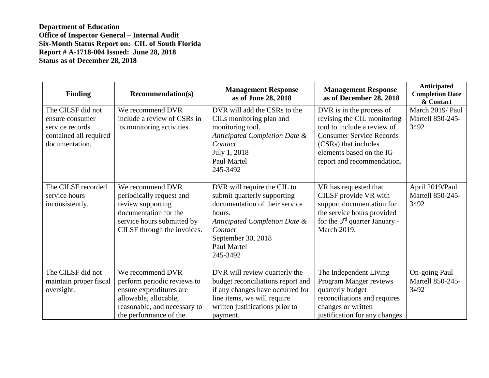| <b>Finding</b>                                                                                      | <b>Recommendation(s)</b>                                                                                                                                      | <b>Management Response</b><br>as of June 28, 2018                                                                                                                                                   | <b>Management Response</b><br>as of December 28, 2018                                                                                                                                                       | Anticipated<br><b>Completion Date</b><br>& Contact |
|-----------------------------------------------------------------------------------------------------|---------------------------------------------------------------------------------------------------------------------------------------------------------------|-----------------------------------------------------------------------------------------------------------------------------------------------------------------------------------------------------|-------------------------------------------------------------------------------------------------------------------------------------------------------------------------------------------------------------|----------------------------------------------------|
| The CILSF did not<br>ensure consumer<br>service records<br>contained all required<br>documentation. | We recommend DVR<br>include a review of CSRs in<br>its monitoring activities.                                                                                 | DVR will add the CSRs to the<br>CILs monitoring plan and<br>monitoring tool.<br>Anticipated Completion Date &<br>Contact<br>July 1, 2018<br>Paul Martel<br>245-3492                                 | DVR is in the process of<br>revising the CIL monitoring<br>tool to include a review of<br><b>Consumer Service Records</b><br>(CSRs) that includes<br>elements based on the IG<br>report and recommendation. | March 2019/ Paul<br>Martell 850-245-<br>3492       |
| The CILSF recorded<br>service hours<br>inconsistently.                                              | We recommend DVR<br>periodically request and<br>review supporting<br>documentation for the<br>service hours submitted by<br>CILSF through the invoices.       | DVR will require the CIL to<br>submit quarterly supporting<br>documentation of their service<br>hours.<br>Anticipated Completion Date &<br>Contact<br>September 30, 2018<br>Paul Martel<br>245-3492 | VR has requested that<br>CILSF provide VR with<br>support documentation for<br>the service hours provided<br>for the $3^{rd}$ quarter January -<br><b>March 2019.</b>                                       | April 2019/Paul<br>Martell 850-245-<br>3492        |
| The CILSF did not<br>maintain proper fiscal<br>oversight.                                           | We recommend DVR<br>perform periodic reviews to<br>ensure expenditures are<br>allowable, allocable,<br>reasonable, and necessary to<br>the performance of the | DVR will review quarterly the<br>budget reconciliations report and<br>if any changes have occurred for<br>line items, we will require<br>written justifications prior to<br>payment.                | The Independent Living<br>Program Manger reviews<br>quarterly budget<br>reconciliations and requires<br>changes or written<br>justification for any changes                                                 | On-going Paul<br>Martell 850-245-<br>3492          |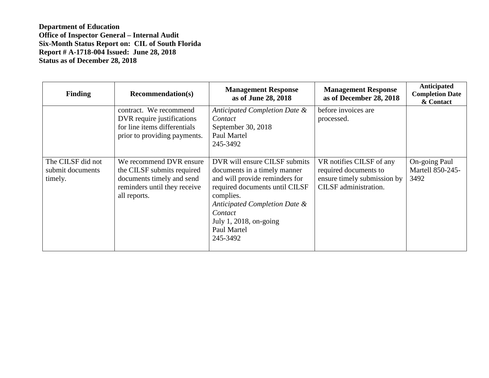| <b>Finding</b>                                   | <b>Recommendation(s)</b>                                                                                                           | <b>Management Response</b><br>as of June 28, 2018                                                                                                                                                                                               | <b>Management Response</b><br>as of December 28, 2018                                                     | Anticipated<br><b>Completion Date</b><br>& Contact |
|--------------------------------------------------|------------------------------------------------------------------------------------------------------------------------------------|-------------------------------------------------------------------------------------------------------------------------------------------------------------------------------------------------------------------------------------------------|-----------------------------------------------------------------------------------------------------------|----------------------------------------------------|
|                                                  | contract. We recommend<br>DVR require justifications<br>for line items differentials<br>prior to providing payments.               | Anticipated Completion Date &<br>Contact<br>September 30, 2018<br>Paul Martel<br>245-3492                                                                                                                                                       | before invoices are<br>processed.                                                                         |                                                    |
| The CILSF did not<br>submit documents<br>timely. | We recommend DVR ensure<br>the CILSF submits required<br>documents timely and send<br>reminders until they receive<br>all reports. | DVR will ensure CILSF submits<br>documents in a timely manner<br>and will provide reminders for<br>required documents until CILSF<br>complies.<br>Anticipated Completion Date &<br>Contact<br>July 1, 2018, on-going<br>Paul Martel<br>245-3492 | VR notifies CILSF of any<br>required documents to<br>ensure timely submission by<br>CILSF administration. | On-going Paul<br>Martell 850-245-<br>3492          |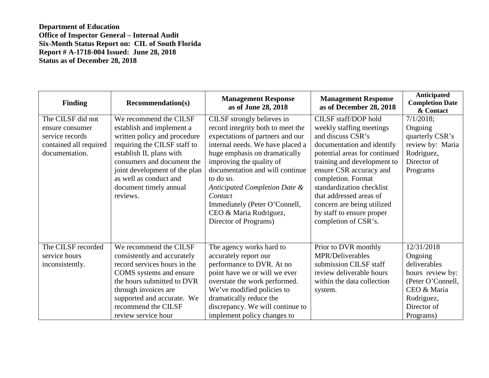| <b>Finding</b>                                                                                      | <b>Recommendation(s)</b>                                                                                                                                                                                                                                                      | <b>Management Response</b><br>as of June 28, 2018                                                                                                                                                                                                                                                                                                                                    | <b>Management Response</b><br>as of December 28, 2018                                                                                                                                                                                                                                                                                                           | Anticipated<br><b>Completion Date</b><br>& Contact                                                                                      |
|-----------------------------------------------------------------------------------------------------|-------------------------------------------------------------------------------------------------------------------------------------------------------------------------------------------------------------------------------------------------------------------------------|--------------------------------------------------------------------------------------------------------------------------------------------------------------------------------------------------------------------------------------------------------------------------------------------------------------------------------------------------------------------------------------|-----------------------------------------------------------------------------------------------------------------------------------------------------------------------------------------------------------------------------------------------------------------------------------------------------------------------------------------------------------------|-----------------------------------------------------------------------------------------------------------------------------------------|
| The CILSF did not<br>ensure consumer<br>service records<br>contained all required<br>documentation. | We recommend the CILSF<br>establish and implement a<br>written policy and procedure<br>requiring the CILSF staff to<br>establish IL plans with<br>consumers and document the<br>joint development of the plan<br>as well as conduct and<br>document timely annual<br>reviews. | CILSF strongly believes in<br>record integrity both to meet the<br>expectations of partners and our<br>internal needs. We have placed a<br>huge emphasis on dramatically<br>improving the quality of<br>documentation and will continue<br>to do so.<br>Anticipated Completion Date &<br>Contact<br>Immediately (Peter O'Connell,<br>CEO & Maria Rodriguez,<br>Director of Programs) | CILSF staff/DOP hold<br>weekly staffing meetings<br>and discuss CSR's<br>documentation and identify<br>potential areas for continued<br>training and development to<br>ensure CSR accuracy and<br>completion. Format<br>standardization checklist<br>that addressed areas of<br>concern are being utilized<br>by staff to ensure proper<br>completion of CSR's. | $7/1/2018$ ;<br>Ongoing<br>quarterly CSR's<br>review by: Maria<br>Rodriguez,<br>Director of<br>Programs                                 |
| The CILSF recorded<br>service hours<br>inconsistently.                                              | We recommend the CILSF<br>consistently and accurately<br>record services hours in the<br>COMS systems and ensure<br>the hours submitted to DVR<br>through invoices are<br>supported and accurate. We<br>recommend the CILSF<br>review service hour                            | The agency works hard to<br>accurately report our<br>performance to DVR. At no<br>point have we or will we ever<br>overstate the work performed.<br>We've modified policies to<br>dramatically reduce the<br>discrepancy. We will continue to<br>implement policy changes to                                                                                                         | Prior to DVR monthly<br>MPR/Deliverables<br>submission CILSF staff<br>review deliverable hours<br>within the data collection<br>system.                                                                                                                                                                                                                         | 12/31/2018<br>Ongoing<br>deliverables<br>hours review by:<br>(Peter O'Connell,<br>CEO & Maria<br>Rodriguez,<br>Director of<br>Programs) |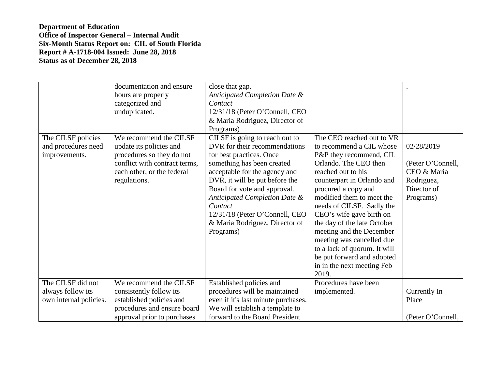| The CILSF policies<br>and procedures need<br>improvements. | documentation and ensure<br>hours are properly<br>categorized and<br>unduplicated.<br>We recommend the CILSF<br>update its policies and<br>procedures so they do not<br>conflict with contract terms,<br>each other, or the federal<br>regulations. | close that gap.<br>Anticipated Completion Date &<br>Contact<br>12/31/18 (Peter O'Connell, CEO<br>& Maria Rodriguez, Director of<br>Programs)<br>CILSF is going to reach out to<br>DVR for their recommendations<br>for best practices. Once<br>something has been created<br>acceptable for the agency and<br>DVR, it will be put before the<br>Board for vote and approval.<br>Anticipated Completion Date &<br>Contact<br>12/31/18 (Peter O'Connell, CEO<br>& Maria Rodriguez, Director of | The CEO reached out to VR<br>to recommend a CIL whose<br>P&P they recommend, CIL<br>Orlando. The CEO then<br>reached out to his<br>counterpart in Orlando and<br>procured a copy and<br>modified them to meet the<br>needs of CILSF. Sadly the<br>CEO's wife gave birth on<br>the day of the late October | 02/28/2019<br>(Peter O'Connell,<br>CEO & Maria<br>Rodriguez,<br>Director of<br>Programs) |
|------------------------------------------------------------|-----------------------------------------------------------------------------------------------------------------------------------------------------------------------------------------------------------------------------------------------------|----------------------------------------------------------------------------------------------------------------------------------------------------------------------------------------------------------------------------------------------------------------------------------------------------------------------------------------------------------------------------------------------------------------------------------------------------------------------------------------------|-----------------------------------------------------------------------------------------------------------------------------------------------------------------------------------------------------------------------------------------------------------------------------------------------------------|------------------------------------------------------------------------------------------|
|                                                            |                                                                                                                                                                                                                                                     | Programs)                                                                                                                                                                                                                                                                                                                                                                                                                                                                                    | meeting and the December<br>meeting was cancelled due<br>to a lack of quorum. It will                                                                                                                                                                                                                     |                                                                                          |
|                                                            |                                                                                                                                                                                                                                                     |                                                                                                                                                                                                                                                                                                                                                                                                                                                                                              | be put forward and adopted<br>in in the next meeting Feb<br>2019.                                                                                                                                                                                                                                         |                                                                                          |
| The CILSF did not                                          | We recommend the CILSF                                                                                                                                                                                                                              | Established policies and                                                                                                                                                                                                                                                                                                                                                                                                                                                                     | Procedures have been                                                                                                                                                                                                                                                                                      |                                                                                          |
| always follow its                                          | consistently follow its                                                                                                                                                                                                                             | procedures will be maintained                                                                                                                                                                                                                                                                                                                                                                                                                                                                | implemented.                                                                                                                                                                                                                                                                                              | Currently In                                                                             |
| own internal policies.                                     | established policies and                                                                                                                                                                                                                            | even if it's last minute purchases.                                                                                                                                                                                                                                                                                                                                                                                                                                                          |                                                                                                                                                                                                                                                                                                           | Place                                                                                    |
|                                                            | procedures and ensure board                                                                                                                                                                                                                         | We will establish a template to                                                                                                                                                                                                                                                                                                                                                                                                                                                              |                                                                                                                                                                                                                                                                                                           |                                                                                          |
|                                                            | approval prior to purchases                                                                                                                                                                                                                         | forward to the Board President                                                                                                                                                                                                                                                                                                                                                                                                                                                               |                                                                                                                                                                                                                                                                                                           | (Peter O'Connell,                                                                        |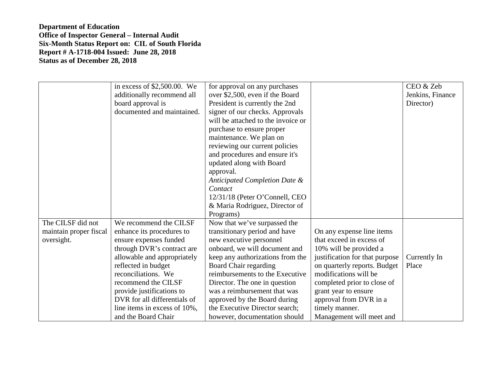|                                                           | in excess of \$2,500.00. We<br>additionally recommend all<br>board approval is<br>documented and maintained.                                                                                                                                                                                                                        | for approval on any purchases<br>over \$2,500, even if the Board<br>President is currently the 2nd<br>signer of our checks. Approvals<br>will be attached to the invoice or                                                                                                                                                                                                                   |                                                                                                                                                                                                                                                                                                           | CEO & Zeb<br>Jenkins, Finance<br>Director) |
|-----------------------------------------------------------|-------------------------------------------------------------------------------------------------------------------------------------------------------------------------------------------------------------------------------------------------------------------------------------------------------------------------------------|-----------------------------------------------------------------------------------------------------------------------------------------------------------------------------------------------------------------------------------------------------------------------------------------------------------------------------------------------------------------------------------------------|-----------------------------------------------------------------------------------------------------------------------------------------------------------------------------------------------------------------------------------------------------------------------------------------------------------|--------------------------------------------|
|                                                           |                                                                                                                                                                                                                                                                                                                                     | purchase to ensure proper<br>maintenance. We plan on<br>reviewing our current policies<br>and procedures and ensure it's<br>updated along with Board                                                                                                                                                                                                                                          |                                                                                                                                                                                                                                                                                                           |                                            |
|                                                           |                                                                                                                                                                                                                                                                                                                                     | approval.<br>Anticipated Completion Date &<br>Contact<br>12/31/18 (Peter O'Connell, CEO<br>& Maria Rodriguez, Director of<br>Programs)                                                                                                                                                                                                                                                        |                                                                                                                                                                                                                                                                                                           |                                            |
| The CILSF did not<br>maintain proper fiscal<br>oversight. | We recommend the CILSF<br>enhance its procedures to<br>ensure expenses funded<br>through DVR's contract are<br>allowable and appropriately<br>reflected in budget<br>reconciliations. We<br>recommend the CILSF<br>provide justifications to<br>DVR for all differentials of<br>line items in excess of 10%,<br>and the Board Chair | Now that we've surpassed the<br>transitionary period and have<br>new executive personnel<br>onboard, we will document and<br>keep any authorizations from the<br>Board Chair regarding<br>reimbursements to the Executive<br>Director. The one in question<br>was a reimbursement that was<br>approved by the Board during<br>the Executive Director search;<br>however, documentation should | On any expense line items<br>that exceed in excess of<br>10% will be provided a<br>justification for that purpose<br>on quarterly reports. Budget<br>modifications will be<br>completed prior to close of<br>grant year to ensure<br>approval from DVR in a<br>timely manner.<br>Management will meet and | Currently In<br>Place                      |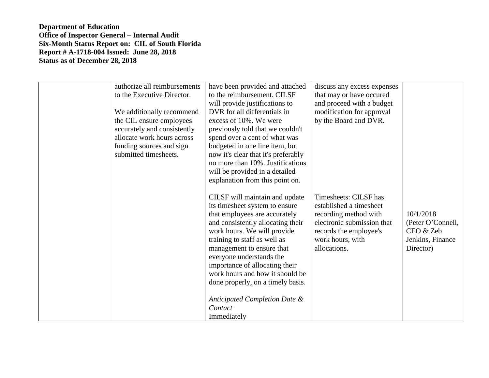| authorize all reimbursements<br>to the Executive Director.<br>We additionally recommend<br>the CIL ensure employees<br>accurately and consistently<br>allocate work hours across<br>funding sources and sign<br>submitted timesheets. | have been provided and attached<br>to the reimbursement. CILSF<br>will provide justifications to<br>DVR for all differentials in<br>excess of 10%. We were<br>previously told that we couldn't<br>spend over a cent of what was<br>budgeted in one line item, but<br>now it's clear that it's preferably<br>no more than 10%. Justifications<br>will be provided in a detailed<br>explanation from this point on.                   | discuss any excess expenses<br>that may or have occured<br>and proceed with a budget<br>modification for approval<br>by the Board and DVR.                            |                                                                              |
|---------------------------------------------------------------------------------------------------------------------------------------------------------------------------------------------------------------------------------------|-------------------------------------------------------------------------------------------------------------------------------------------------------------------------------------------------------------------------------------------------------------------------------------------------------------------------------------------------------------------------------------------------------------------------------------|-----------------------------------------------------------------------------------------------------------------------------------------------------------------------|------------------------------------------------------------------------------|
|                                                                                                                                                                                                                                       | CILSF will maintain and update<br>its timesheet system to ensure<br>that employees are accurately<br>and consistently allocating their<br>work hours. We will provide<br>training to staff as well as<br>management to ensure that<br>everyone understands the<br>importance of allocating their<br>work hours and how it should be<br>done properly, on a timely basis.<br>Anticipated Completion Date &<br>Contact<br>Immediately | Timesheets: CILSF has<br>established a timesheet<br>recording method with<br>electronic submission that<br>records the employee's<br>work hours, with<br>allocations. | 10/1/2018<br>(Peter O'Connell,<br>CEO & Zeb<br>Jenkins, Finance<br>Director) |